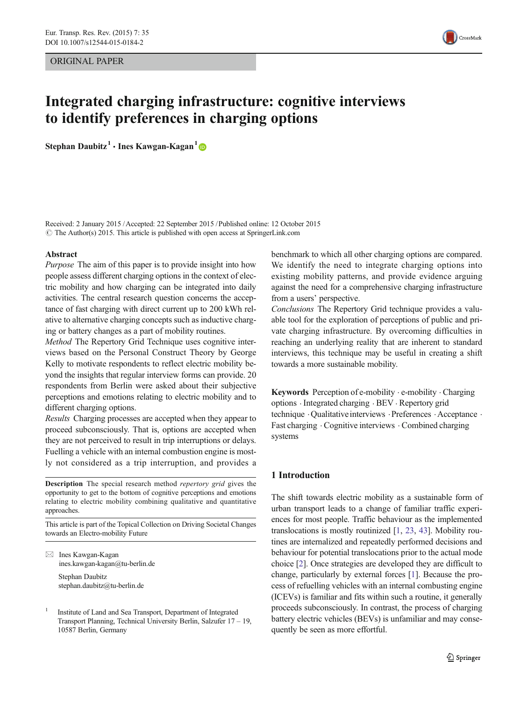ORIGINAL PAPER



# Integrated charging infrastructure: cognitive interviews to identify preferences in charging options

Stephan Daubitz<sup>1</sup> • Ines Kawgan-Kagan<sup>1</sup>

Received: 2 January 2015 /Accepted: 22 September 2015 /Published online: 12 October 2015  $\odot$  The Author(s) 2015. This article is published with open access at SpringerLink.com

#### Abstract

Purpose The aim of this paper is to provide insight into how people assess different charging options in the context of electric mobility and how charging can be integrated into daily activities. The central research question concerns the acceptance of fast charging with direct current up to 200 kWh relative to alternative charging concepts such as inductive charging or battery changes as a part of mobility routines.

Method The Repertory Grid Technique uses cognitive interviews based on the Personal Construct Theory by George Kelly to motivate respondents to reflect electric mobility beyond the insights that regular interview forms can provide. 20 respondents from Berlin were asked about their subjective perceptions and emotions relating to electric mobility and to different charging options.

Results Charging processes are accepted when they appear to proceed subconsciously. That is, options are accepted when they are not perceived to result in trip interruptions or delays. Fuelling a vehicle with an internal combustion engine is mostly not considered as a trip interruption, and provides a

Description The special research method repertory grid gives the opportunity to get to the bottom of cognitive perceptions and emotions relating to electric mobility combining qualitative and quantitative approaches.

This article is part of the Topical Collection on Driving Societal Changes towards an Electro-mobility Future

 $\boxtimes$  Ines Kawgan-Kagan ines.kawgan-kagan@tu-berlin.de Stephan Daubitz

stephan.daubitz@tu-berlin.de

<sup>1</sup> Institute of Land and Sea Transport, Department of Integrated Transport Planning, Technical University Berlin, Salzufer 17 – 19, 10587 Berlin, Germany

benchmark to which all other charging options are compared. We identify the need to integrate charging options into existing mobility patterns, and provide evidence arguing against the need for a comprehensive charging infrastructure from a users' perspective.

Conclusions The Repertory Grid technique provides a valuable tool for the exploration of perceptions of public and private charging infrastructure. By overcoming difficulties in reaching an underlying reality that are inherent to standard interviews, this technique may be useful in creating a shift towards a more sustainable mobility.

Keywords Perception of e-mobility  $\cdot$  e-mobility  $\cdot$  Charging options . Integrated charging . BEV . Repertory grid technique  $\cdot$  Qualitative interviews  $\cdot$  Preferences  $\cdot$  Acceptance  $\cdot$ Fast charging . Cognitive interviews . Combined charging systems

# 1 Introduction

The shift towards electric mobility as a sustainable form of urban transport leads to a change of familiar traffic experiences for most people. Traffic behaviour as the implemented translocations is mostly routinized [\[1,](#page-12-0) [23](#page-12-0), [43\]](#page-13-0). Mobility routines are internalized and repeatedly performed decisions and behaviour for potential translocations prior to the actual mode choice [\[2](#page-12-0)]. Once strategies are developed they are difficult to change, particularly by external forces [[1\]](#page-12-0). Because the process of refuelling vehicles with an internal combusting engine (ICEVs) is familiar and fits within such a routine, it generally proceeds subconsciously. In contrast, the process of charging battery electric vehicles (BEVs) is unfamiliar and may consequently be seen as more effortful.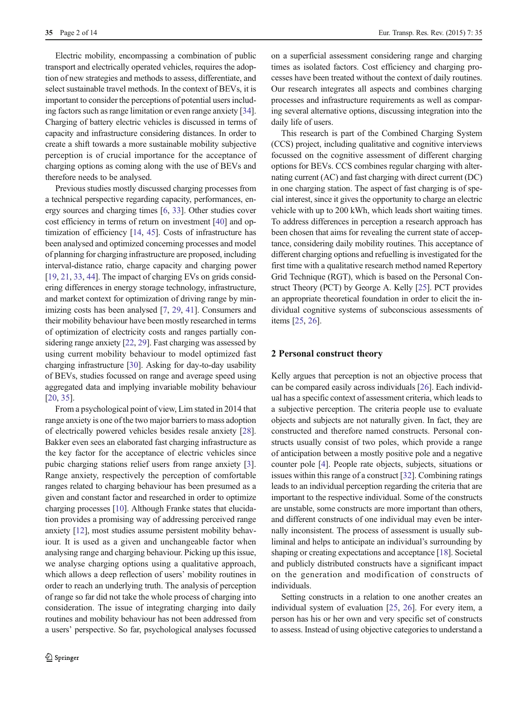Electric mobility, encompassing a combination of public transport and electrically operated vehicles, requires the adoption of new strategies and methods to assess, differentiate, and select sustainable travel methods. In the context of BEVs, it is important to consider the perceptions of potential users including factors such as range limitation or even range anxiety [[34\]](#page-13-0). Charging of battery electric vehicles is discussed in terms of capacity and infrastructure considering distances. In order to create a shift towards a more sustainable mobility subjective perception is of crucial importance for the acceptance of charging options as coming along with the use of BEVs and therefore needs to be analysed.

Previous studies mostly discussed charging processes from a technical perspective regarding capacity, performances, energy sources and charging times [\[6,](#page-12-0) [33](#page-13-0)]. Other studies cover cost efficiency in terms of return on investment [\[40](#page-13-0)] and optimization of efficiency [[14,](#page-12-0) [45](#page-13-0)]. Costs of infrastructure has been analysed and optimized concerning processes and model of planning for charging infrastructure are proposed, including interval-distance ratio, charge capacity and charging power [\[19,](#page-12-0) [21](#page-12-0), [33,](#page-13-0) [44](#page-13-0)]. The impact of charging EVs on grids considering differences in energy storage technology, infrastructure, and market context for optimization of driving range by minimizing costs has been analysed [[7,](#page-12-0) [29,](#page-13-0) [41](#page-13-0)]. Consumers and their mobility behaviour have been mostly researched in terms of optimization of electricity costs and ranges partially considering range anxiety [\[22](#page-12-0), [29\]](#page-13-0). Fast charging was assessed by using current mobility behaviour to model optimized fast charging infrastructure [\[30\]](#page-13-0). Asking for day-to-day usability of BEVs, studies focussed on range and average speed using aggregated data and implying invariable mobility behaviour [\[20,](#page-12-0) [35\]](#page-13-0).

From a psychological point of view, Lim stated in 2014 that range anxiety is one of the two major barriers to mass adoption of electrically powered vehicles besides resale anxiety [[28\]](#page-13-0). Bakker even sees an elaborated fast charging infrastructure as the key factor for the acceptance of electric vehicles since pubic charging stations relief users from range anxiety [[3](#page-12-0)]. Range anxiety, respectively the perception of comfortable ranges related to charging behaviour has been presumed as a given and constant factor and researched in order to optimize charging processes [\[10\]](#page-12-0). Although Franke states that elucidation provides a promising way of addressing perceived range anxiety [[12](#page-12-0)], most studies assume persistent mobility behaviour. It is used as a given and unchangeable factor when analysing range and charging behaviour. Picking up this issue, we analyse charging options using a qualitative approach, which allows a deep reflection of users' mobility routines in order to reach an underlying truth. The analysis of perception of range so far did not take the whole process of charging into consideration. The issue of integrating charging into daily routines and mobility behaviour has not been addressed from a users' perspective. So far, psychological analyses focussed on a superficial assessment considering range and charging times as isolated factors. Cost efficiency and charging processes have been treated without the context of daily routines. Our research integrates all aspects and combines charging processes and infrastructure requirements as well as comparing several alternative options, discussing integration into the daily life of users.

This research is part of the Combined Charging System (CCS) project, including qualitative and cognitive interviews focussed on the cognitive assessment of different charging options for BEVs. CCS combines regular charging with alternating current (AC) and fast charging with direct current (DC) in one charging station. The aspect of fast charging is of special interest, since it gives the opportunity to charge an electric vehicle with up to 200 kWh, which leads short waiting times. To address differences in perception a research approach has been chosen that aims for revealing the current state of acceptance, considering daily mobility routines. This acceptance of different charging options and refuelling is investigated for the first time with a qualitative research method named Repertory Grid Technique (RGT), which is based on the Personal Construct Theory (PCT) by George A. Kelly [[25\]](#page-13-0). PCT provides an appropriate theoretical foundation in order to elicit the individual cognitive systems of subconscious assessments of items [[25,](#page-13-0) [26](#page-13-0)].

## 2 Personal construct theory

Kelly argues that perception is not an objective process that can be compared easily across individuals [\[26\]](#page-13-0). Each individual has a specific context of assessment criteria, which leads to a subjective perception. The criteria people use to evaluate objects and subjects are not naturally given. In fact, they are constructed and therefore named constructs. Personal constructs usually consist of two poles, which provide a range of anticipation between a mostly positive pole and a negative counter pole [\[4](#page-12-0)]. People rate objects, subjects, situations or issues within this range of a construct [[32](#page-13-0)]. Combining ratings leads to an individual perception regarding the criteria that are important to the respective individual. Some of the constructs are unstable, some constructs are more important than others, and different constructs of one individual may even be internally inconsistent. The process of assessment is usually subliminal and helps to anticipate an individual's surrounding by shaping or creating expectations and acceptance [[18\]](#page-12-0). Societal and publicly distributed constructs have a significant impact on the generation and modification of constructs of individuals.

Setting constructs in a relation to one another creates an individual system of evaluation [\[25,](#page-13-0) [26\]](#page-13-0). For every item, a person has his or her own and very specific set of constructs to assess. Instead of using objective categories to understand a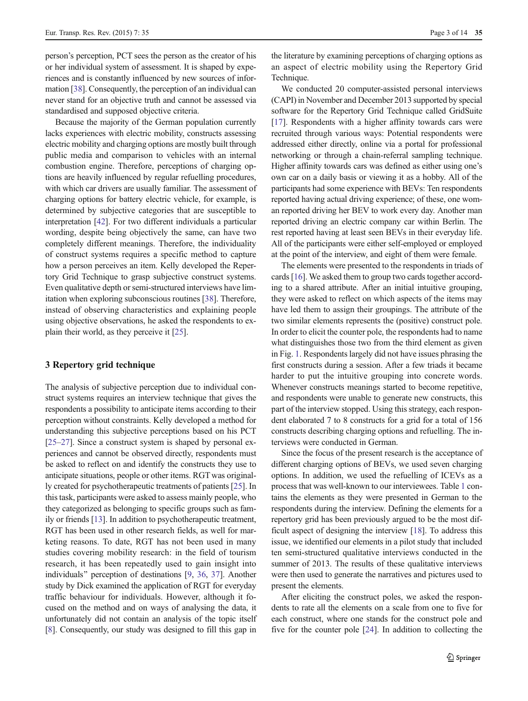person's perception, PCT sees the person as the creator of his or her individual system of assessment. It is shaped by experiences and is constantly influenced by new sources of information [\[38\]](#page-13-0). Consequently, the perception of an individual can never stand for an objective truth and cannot be assessed via standardised and supposed objective criteria.

Because the majority of the German population currently lacks experiences with electric mobility, constructs assessing electric mobility and charging options are mostly built through public media and comparison to vehicles with an internal combustion engine. Therefore, perceptions of charging options are heavily influenced by regular refuelling procedures, with which car drivers are usually familiar. The assessment of charging options for battery electric vehicle, for example, is determined by subjective categories that are susceptible to interpretation [\[42\]](#page-13-0). For two different individuals a particular wording, despite being objectively the same, can have two completely different meanings. Therefore, the individuality of construct systems requires a specific method to capture how a person perceives an item. Kelly developed the Repertory Grid Technique to grasp subjective construct systems. Even qualitative depth or semi-structured interviews have limitation when exploring subconscious routines [\[38\]](#page-13-0). Therefore, instead of observing characteristics and explaining people using objective observations, he asked the respondents to explain their world, as they perceive it [\[25\]](#page-13-0).

## 3 Repertory grid technique

The analysis of subjective perception due to individual construct systems requires an interview technique that gives the respondents a possibility to anticipate items according to their perception without constraints. Kelly developed a method for understanding this subjective perceptions based on his PCT [\[25](#page-13-0)–[27\]](#page-13-0). Since a construct system is shaped by personal experiences and cannot be observed directly, respondents must be asked to reflect on and identify the constructs they use to anticipate situations, people or other items. RGT was originally created for psychotherapeutic treatments of patients [[25](#page-13-0)]. In this task, participants were asked to assess mainly people, who they categorized as belonging to specific groups such as family or friends [\[13\]](#page-12-0). In addition to psychotherapeutic treatment, RGT has been used in other research fields, as well for marketing reasons. To date, RGT has not been used in many studies covering mobility research: in the field of tourism research, it has been repeatedly used to gain insight into individuals" perception of destinations [\[9](#page-12-0), [36](#page-13-0), [37](#page-13-0)]. Another study by Dick examined the application of RGT for everyday traffic behaviour for individuals. However, although it focused on the method and on ways of analysing the data, it unfortunately did not contain an analysis of the topic itself [\[8](#page-12-0)]. Consequently, our study was designed to fill this gap in

the literature by examining perceptions of charging options as an aspect of electric mobility using the Repertory Grid Technique.

We conducted 20 computer-assisted personal interviews (CAPI) in November and December 2013 supported by special software for the Repertory Grid Technique called GridSuite [\[17](#page-12-0)]. Respondents with a higher affinity towards cars were recruited through various ways: Potential respondents were addressed either directly, online via a portal for professional networking or through a chain-referral sampling technique. Higher affinity towards cars was defined as either using one's own car on a daily basis or viewing it as a hobby. All of the participants had some experience with BEVs: Ten respondents reported having actual driving experience; of these, one woman reported driving her BEV to work every day. Another man reported driving an electric company car within Berlin. The rest reported having at least seen BEVs in their everyday life. All of the participants were either self-employed or employed at the point of the interview, and eight of them were female.

The elements were presented to the respondents in triads of cards [[16](#page-12-0)]. We asked them to group two cards together according to a shared attribute. After an initial intuitive grouping, they were asked to reflect on which aspects of the items may have led them to assign their groupings. The attribute of the two similar elements represents the (positive) construct pole. In order to elicit the counter pole, the respondents had to name what distinguishes those two from the third element as given in Fig. [1.](#page-3-0) Respondents largely did not have issues phrasing the first constructs during a session. After a few triads it became harder to put the intuitive grouping into concrete words. Whenever constructs meanings started to become repetitive, and respondents were unable to generate new constructs, this part of the interview stopped. Using this strategy, each respondent elaborated 7 to 8 constructs for a grid for a total of 156 constructs describing charging options and refuelling. The interviews were conducted in German.

Since the focus of the present research is the acceptance of different charging options of BEVs, we used seven charging options. In addition, we used the refuelling of ICEVs as a process that was well-known to our interviewees. Table [1](#page-4-0) contains the elements as they were presented in German to the respondents during the interview. Defining the elements for a repertory grid has been previously argued to be the most difficult aspect of designing the interview [\[18](#page-12-0)]. To address this issue, we identified our elements in a pilot study that included ten semi-structured qualitative interviews conducted in the summer of 2013. The results of these qualitative interviews were then used to generate the narratives and pictures used to present the elements.

After eliciting the construct poles, we asked the respondents to rate all the elements on a scale from one to five for each construct, where one stands for the construct pole and five for the counter pole [\[24](#page-12-0)]. In addition to collecting the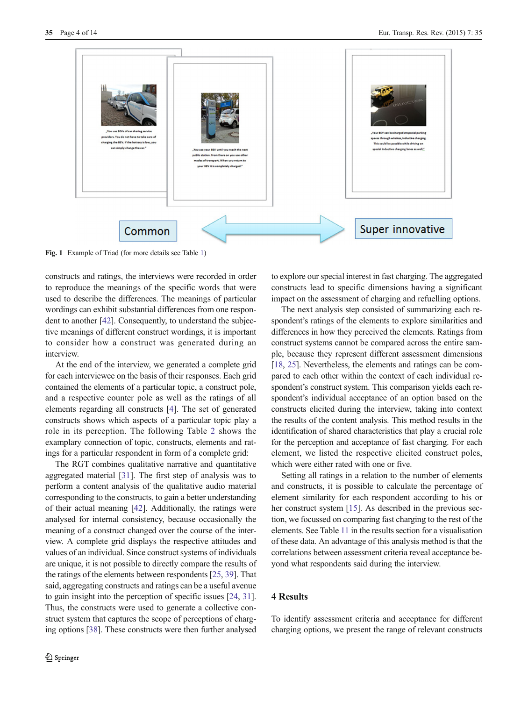<span id="page-3-0"></span>

Fig. 1 Example of Triad (for more details see Table [1](#page-4-0))

constructs and ratings, the interviews were recorded in order to reproduce the meanings of the specific words that were used to describe the differences. The meanings of particular wordings can exhibit substantial differences from one respondent to another [\[42](#page-13-0)]. Consequently, to understand the subjective meanings of different construct wordings, it is important to consider how a construct was generated during an interview.

At the end of the interview, we generated a complete grid for each interviewee on the basis of their responses. Each grid contained the elements of a particular topic, a construct pole, and a respective counter pole as well as the ratings of all elements regarding all constructs [\[4](#page-12-0)]. The set of generated constructs shows which aspects of a particular topic play a role in its perception. The following Table [2](#page-5-0) shows the examplary connection of topic, constructs, elements and ratings for a particular respondent in form of a complete grid:

The RGT combines qualitative narrative and quantitative aggregated material [\[31](#page-13-0)]. The first step of analysis was to perform a content analysis of the qualitative audio material corresponding to the constructs, to gain a better understanding of their actual meaning [\[42\]](#page-13-0). Additionally, the ratings were analysed for internal consistency, because occasionally the meaning of a construct changed over the course of the interview. A complete grid displays the respective attitudes and values of an individual. Since construct systems of individuals are unique, it is not possible to directly compare the results of the ratings of the elements between respondents [[25](#page-13-0), [39\]](#page-13-0). That said, aggregating constructs and ratings can be a useful avenue to gain insight into the perception of specific issues [[24](#page-12-0), [31\]](#page-13-0). Thus, the constructs were used to generate a collective construct system that captures the scope of perceptions of charging options [\[38](#page-13-0)]. These constructs were then further analysed

to explore our special interest in fast charging. The aggregated constructs lead to specific dimensions having a significant impact on the assessment of charging and refuelling options.

The next analysis step consisted of summarizing each respondent's ratings of the elements to explore similarities and differences in how they perceived the elements. Ratings from construct systems cannot be compared across the entire sample, because they represent different assessment dimensions [\[18](#page-12-0), [25](#page-13-0)]. Nevertheless, the elements and ratings can be compared to each other within the context of each individual respondent's construct system. This comparison yields each respondent's individual acceptance of an option based on the constructs elicited during the interview, taking into context the results of the content analysis. This method results in the identification of shared characteristics that play a crucial role for the perception and acceptance of fast charging. For each element, we listed the respective elicited construct poles, which were either rated with one or five.

Setting all ratings in a relation to the number of elements and constructs, it is possible to calculate the percentage of element similarity for each respondent according to his or her construct system [[15](#page-12-0)]. As described in the previous section, we focussed on comparing fast charging to the rest of the elements. See Table [11](#page-10-0) in the results section for a visualisation of these data. An advantage of this analysis method is that the correlations between assessment criteria reveal acceptance beyond what respondents said during the interview.

# 4 Results

To identify assessment criteria and acceptance for different charging options, we present the range of relevant constructs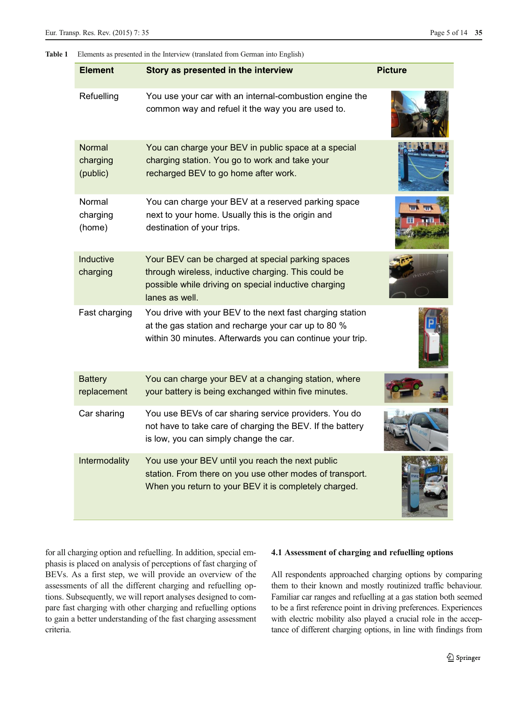## <span id="page-4-0"></span>Table 1 Elements as presented in the Interview (translated from German into English)

| <b>Element</b>                 | Story as presented in the interview                                                                                                                                                | <b>Picture</b> |
|--------------------------------|------------------------------------------------------------------------------------------------------------------------------------------------------------------------------------|----------------|
| Refuelling                     | You use your car with an internal-combustion engine the<br>common way and refuel it the way you are used to.                                                                       |                |
| Normal<br>charging<br>(public) | You can charge your BEV in public space at a special<br>charging station. You go to work and take your<br>recharged BEV to go home after work.                                     |                |
| Normal<br>charging<br>(home)   | You can charge your BEV at a reserved parking space<br>next to your home. Usually this is the origin and<br>destination of your trips.                                             |                |
| Inductive<br>charging          | Your BEV can be charged at special parking spaces<br>through wireless, inductive charging. This could be<br>possible while driving on special inductive charging<br>lanes as well. |                |
| Fast charging                  | You drive with your BEV to the next fast charging station<br>at the gas station and recharge your car up to 80 %<br>within 30 minutes. Afterwards you can continue your trip.      |                |
| <b>Battery</b><br>replacement  | You can charge your BEV at a changing station, where<br>your battery is being exchanged within five minutes.                                                                       |                |
| Car sharing                    | You use BEVs of car sharing service providers. You do<br>not have to take care of charging the BEV. If the battery<br>is low, you can simply change the car.                       |                |
| Intermodality                  | You use your BEV until you reach the next public<br>station. From there on you use other modes of transport.<br>When you return to your BEV it is completely charged.              |                |

for all charging option and refuelling. In addition, special emphasis is placed on analysis of perceptions of fast charging of BEVs. As a first step, we will provide an overview of the assessments of all the different charging and refuelling options. Subsequently, we will report analyses designed to compare fast charging with other charging and refuelling options to gain a better understanding of the fast charging assessment criteria.

## 4.1 Assessment of charging and refuelling options

All respondents approached charging options by comparing them to their known and mostly routinized traffic behaviour. Familiar car ranges and refuelling at a gas station both seemed to be a first reference point in driving preferences. Experiences with electric mobility also played a crucial role in the acceptance of different charging options, in line with findings from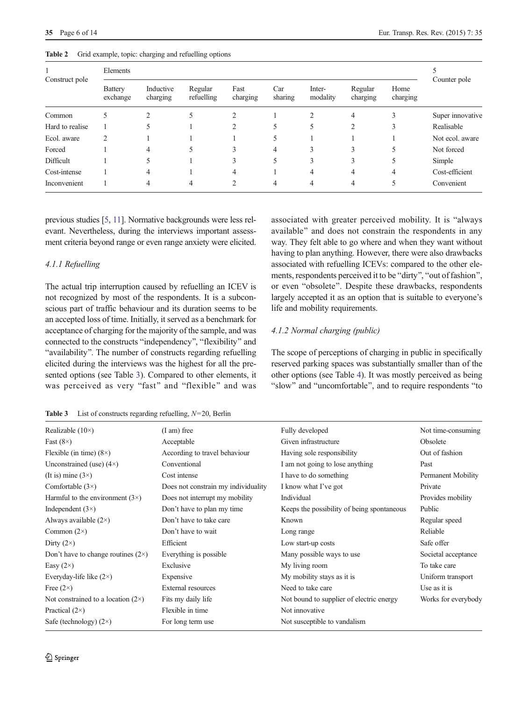<span id="page-5-0"></span>

| 35 Page 6 of 14 | Eur. Transp. Res. Rev. (2015) 7: 35 |  |
|-----------------|-------------------------------------|--|
|                 |                                     |  |

| Construct pole  | Elements                   |                       |                       |                  |                |                    |                     |                  |                  |
|-----------------|----------------------------|-----------------------|-----------------------|------------------|----------------|--------------------|---------------------|------------------|------------------|
|                 | <b>Battery</b><br>exchange | Inductive<br>charging | Regular<br>refuelling | Fast<br>charging | Car<br>sharing | Inter-<br>modality | Regular<br>charging | Home<br>charging | Counter pole     |
| Common          |                            |                       |                       |                  |                | ↑                  | 4                   | 3                | Super innovative |
| Hard to realise |                            |                       |                       |                  | 5              | 5                  | 2                   | 3                | Realisable       |
| Ecol. aware     | $\overline{c}$             |                       |                       |                  | 5              |                    |                     |                  | Not ecol. aware  |
| Forced          |                            | 4                     | 5                     | 3                | 4              | 3                  | 3                   | 5                | Not forced       |
| Difficult       |                            |                       |                       | 3                | 5              | 3                  | 3                   | 5                | Simple           |
| Cost-intense    |                            | 4                     |                       | 4                |                | $\overline{4}$     | 4                   | 4                | Cost-efficient   |
| Inconvenient    |                            | 4                     | 4                     |                  | 4              | 4                  | 4                   |                  | Convenient       |
|                 |                            |                       |                       |                  |                |                    |                     |                  |                  |

| Table 2 |  |  |  |  |  | Grid example, topic: charging and refuelling options |  |
|---------|--|--|--|--|--|------------------------------------------------------|--|
|---------|--|--|--|--|--|------------------------------------------------------|--|

previous studies [[5,](#page-12-0) [11\]](#page-12-0). Normative backgrounds were less relevant. Nevertheless, during the interviews important assessment criteria beyond range or even range anxiety were elicited.

## 4.1.1 Refuelling

The actual trip interruption caused by refuelling an ICEV is not recognized by most of the respondents. It is a subconscious part of traffic behaviour and its duration seems to be an accepted loss of time. Initially, it served as a benchmark for acceptance of charging for the majority of the sample, and was connected to the constructs "independency", "flexibility" and "availability". The number of constructs regarding refuelling elicited during the interviews was the highest for all the presented options (see Table 3). Compared to other elements, it was perceived as very "fast" and "flexible" and was associated with greater perceived mobility. It is "always" available" and does not constrain the respondents in any way. They felt able to go where and when they want without having to plan anything. However, there were also drawbacks associated with refuelling ICEVs: compared to the other elements, respondents perceived it to be "dirty", "out of fashion", or even "obsolete". Despite these drawbacks, respondents largely accepted it as an option that is suitable to everyone's life and mobility requirements.

#### 4.1.2 Normal charging (public)

The scope of perceptions of charging in public in specifically reserved parking spaces was substantially smaller than of the other options (see Table [4](#page-6-0)). It was mostly perceived as being "slow" and "uncomfortable", and to require respondents "to

**Table 3** List of constructs regarding refuelling,  $N=20$ , Berlin

| Realizable $(10\times)$                   | $(I \text{ am})$ free               | Fully developed                            | Not time-consuming  |
|-------------------------------------------|-------------------------------------|--------------------------------------------|---------------------|
| Fast $(8\times)$                          | Acceptable                          | Given infrastructure                       | Obsolete            |
| Flexible (in time) $(8\times)$            | According to travel behaviour       | Having sole responsibility                 | Out of fashion      |
| Unconstrained (use) $(4\times)$           | Conventional                        | I am not going to lose anything            | Past                |
| (It is) mine $(3\times)$                  | Cost intense                        | I have to do something                     | Permanent Mobility  |
| Comfortable $(3\times)$                   | Does not constrain my individuality | I know what I've got                       | Private             |
| Harmful to the environment $(3\times)$    | Does not interrupt my mobility      | Individual                                 | Provides mobility   |
| Independent $(3\times)$                   | Don't have to plan my time          | Keeps the possibility of being spontaneous | Public              |
| Always available $(2\times)$              | Don't have to take care             | Known                                      | Regular speed       |
| Common $(2\times)$                        | Don't have to wait                  | Long range                                 | Reliable            |
| Dirty $(2\times)$                         | Efficient                           | Low start-up costs                         | Safe offer          |
| Don't have to change routines $(2\times)$ | Everything is possible.             | Many possible ways to use                  | Societal acceptance |
| Easy $(2\times)$                          | Exclusive                           | My living room                             | To take care        |
| Everyday-life like $(2\times)$            | Expensive                           | My mobility stays as it is                 | Uniform transport   |
| Free $(2\times)$                          | External resources                  | Need to take care                          | Use as it is        |
| Not constrained to a location $(2\times)$ | Fits my daily life                  | Not bound to supplier of electric energy   | Works for everybody |
| Practical $(2\times)$                     | Flexible in time                    | Not innovative                             |                     |
| Safe (technology) $(2\times)$             | For long term use                   | Not susceptible to vandalism               |                     |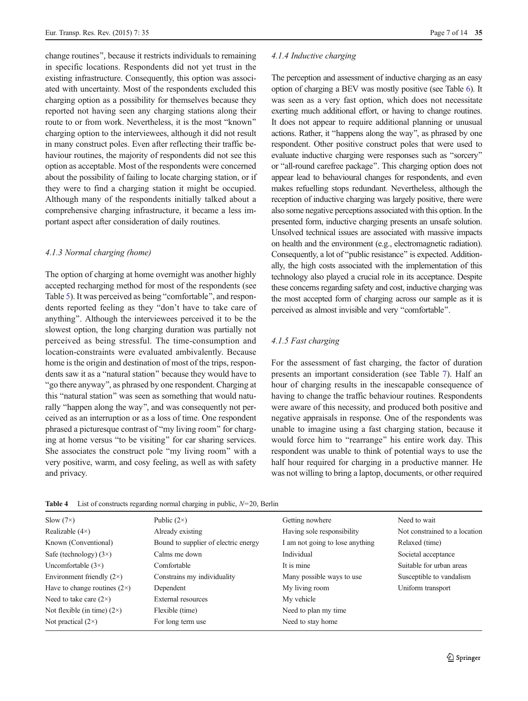<span id="page-6-0"></span>change routines", because it restricts individuals to remaining in specific locations. Respondents did not yet trust in the existing infrastructure. Consequently, this option was associated with uncertainty. Most of the respondents excluded this charging option as a possibility for themselves because they reported not having seen any charging stations along their route to or from work. Nevertheless, it is the most "known" charging option to the interviewees, although it did not result in many construct poles. Even after reflecting their traffic behaviour routines, the majority of respondents did not see this option as acceptable. Most of the respondents were concerned about the possibility of failing to locate charging station, or if they were to find a charging station it might be occupied. Although many of the respondents initially talked about a comprehensive charging infrastructure, it became a less important aspect after consideration of daily routines.

#### 4.1.3 Normal charging (home)

The option of charging at home overnight was another highly accepted recharging method for most of the respondents (see Table [5](#page-7-0)). It was perceived as being "comfortable", and respondents reported feeling as they "don't have to take care of anything^. Although the interviewees perceived it to be the slowest option, the long charging duration was partially not perceived as being stressful. The time-consumption and location-constraints were evaluated ambivalently. Because home is the origin and destination of most of the trips, respondents saw it as a "natural station" because they would have to "go there anyway", as phrased by one respondent. Charging at this "natural station" was seen as something that would naturally "happen along the way", and was consequently not perceived as an interruption or as a loss of time. One respondent phrased a picturesque contrast of "my living room" for charging at home versus "to be visiting" for car sharing services. She associates the construct pole "my living room" with a very positive, warm, and cosy feeling, as well as with safety and privacy.

#### 4.1.4 Inductive charging

The perception and assessment of inductive charging as an easy option of charging a BEV was mostly positive (see Table [6\)](#page-7-0). It was seen as a very fast option, which does not necessitate exerting much additional effort, or having to change routines. It does not appear to require additional planning or unusual actions. Rather, it "happens along the way", as phrased by one respondent. Other positive construct poles that were used to evaluate inductive charging were responses such as "sorcery" or "all-round carefree package". This charging option does not appear lead to behavioural changes for respondents, and even makes refuelling stops redundant. Nevertheless, although the reception of inductive charging was largely positive, there were also some negative perceptions associated with this option. In the presented form, inductive charging presents an unsafe solution. Unsolved technical issues are associated with massive impacts on health and the environment (e.g., electromagnetic radiation). Consequently, a lot of "public resistance" is expected. Additionally, the high costs associated with the implementation of this technology also played a crucial role in its acceptance. Despite these concerns regarding safety and cost, inductive charging was the most accepted form of charging across our sample as it is perceived as almost invisible and very "comfortable".

#### 4.1.5 Fast charging

For the assessment of fast charging, the factor of duration presents an important consideration (see Table [7](#page-8-0)). Half an hour of charging results in the inescapable consequence of having to change the traffic behaviour routines. Respondents were aware of this necessity, and produced both positive and negative appraisals in response. One of the respondents was unable to imagine using a fast charging station, because it would force him to "rearrange" his entire work day. This respondent was unable to think of potential ways to use the half hour required for charging in a productive manner. He was not willing to bring a laptop, documents, or other required

| $Slow (7\times)$                    | Public $(2\times)$                   | Getting nowhere                 | Need to wait                  |
|-------------------------------------|--------------------------------------|---------------------------------|-------------------------------|
| Realizable $(4\times)$              | Already existing                     | Having sole responsibility      | Not constrained to a location |
| Known (Conventional)                | Bound to supplier of electric energy | I am not going to lose anything | Relaxed (time)                |
| Safe (technology) $(3\times)$       | Calms me down                        | Individual                      | Societal acceptance           |
| Uncomfortable $(3\times)$           | Comfortable                          | It is mine                      | Suitable for urban areas      |
| Environment friendly $(2\times)$    | Constrains my individuality          | Many possible ways to use       | Susceptible to vandalism      |
| Have to change routines $(2\times)$ | Dependent                            | My living room                  | Uniform transport             |
| Need to take care $(2\times)$       | External resources                   | My vehicle                      |                               |
| Not flexible (in time) $(2\times)$  | Flexible (time)                      | Need to plan my time            |                               |
| Not practical $(2\times)$           | For long term use                    | Need to stay home               |                               |

**Table 4** List of constructs regarding normal charging in public,  $N=20$ , Berlin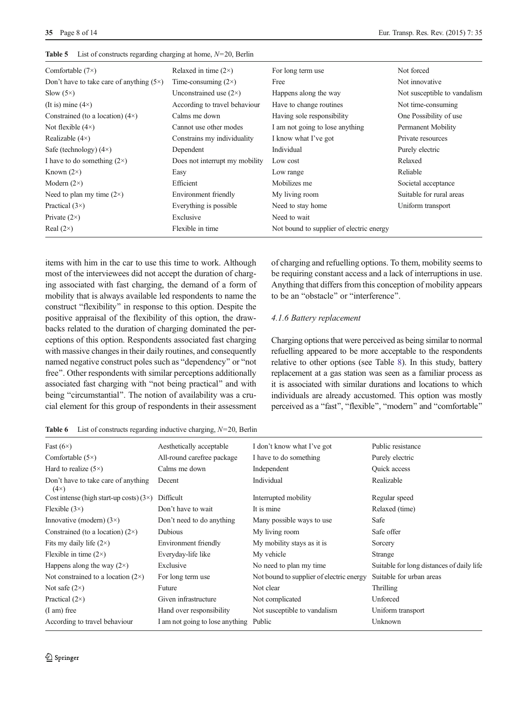| Comfortable $(7\times)$                         | Relaxed in time $(2\times)$    | For long term use                        | Not forced                   |
|-------------------------------------------------|--------------------------------|------------------------------------------|------------------------------|
| Don't have to take care of anything $(5\times)$ | Time-consuming $(2\times)$     | Free                                     | Not innovative               |
| $Slow (5\times)$                                | Unconstrained use $(2\times)$  | Happens along the way                    | Not susceptible to vandalism |
| (It is) mine $(4\times)$                        | According to travel behaviour  | Have to change routines                  | Not time-consuming           |
| Constrained (to a location) $(4\times)$         | Calms me down                  | Having sole responsibility               | One Possibility of use       |
| Not flexible $(4\times)$                        | Cannot use other modes         | I am not going to lose anything          | Permanent Mobility           |
| Realizable $(4\times)$                          | Constrains my individuality    | I know what I've got                     | Private resources            |
| Safe (technology) $(4\times)$                   | Dependent                      | Individual                               | Purely electric              |
| I have to do something $(2\times)$              | Does not interrupt my mobility | Low cost                                 | Relaxed                      |
| Known $(2\times)$                               | Easy                           | Low range                                | Reliable                     |
| Modern $(2\times)$                              | Efficient                      | Mobilizes me                             | Societal acceptance          |
| Need to plan my time $(2\times)$                | Environment friendly           | My living room                           | Suitable for rural areas     |
| Practical $(3\times)$                           | Everything is possible         | Need to stay home                        | Uniform transport            |
| Private $(2\times)$                             | Exclusive                      | Need to wait                             |                              |
| Real $(2\times)$                                | Flexible in time               | Not bound to supplier of electric energy |                              |

<span id="page-7-0"></span>**Table 5** List of constructs regarding charging at home,  $N=20$ , Berlin

items with him in the car to use this time to work. Although most of the interviewees did not accept the duration of charging associated with fast charging, the demand of a form of mobility that is always available led respondents to name the construct "flexibility" in response to this option. Despite the positive appraisal of the flexibility of this option, the drawbacks related to the duration of charging dominated the perceptions of this option. Respondents associated fast charging with massive changes in their daily routines, and consequently named negative construct poles such as "dependency" or "not free". Other respondents with similar perceptions additionally associated fast charging with "not being practical" and with being "circumstantial". The notion of availability was a crucial element for this group of respondents in their assessment

| <b>Table 6</b> List of constructs regarding inductive charging, $N=20$ , Berlin |  |  |  |
|---------------------------------------------------------------------------------|--|--|--|
|---------------------------------------------------------------------------------|--|--|--|

of charging and refuelling options. To them, mobility seems to be requiring constant access and a lack of interruptions in use. Anything that differs from this conception of mobility appears to be an "obstacle" or "interference".

## 4.1.6 Battery replacement

Charging options that were perceived as being similar to normal refuelling appeared to be more acceptable to the respondents relative to other options (see Table [8](#page-8-0)). In this study, battery replacement at a gas station was seen as a familiar process as it is associated with similar durations and locations to which individuals are already accustomed. This option was mostly perceived as a "fast", "flexible", "modern" and "comfortable"

| Fast $(6\times)$                                   | Aesthetically acceptable        | I don't know what I've got               | Public resistance                         |
|----------------------------------------------------|---------------------------------|------------------------------------------|-------------------------------------------|
| Comfortable $(5\times)$                            | All-round carefree package      | I have to do something                   | Purely electric                           |
| Hard to realize $(5\times)$                        | Calms me down                   | Independent                              | Quick access                              |
| Don't have to take care of anything<br>$(4\times)$ | Decent                          | Individual                               | Realizable                                |
| Cost intense (high start-up costs) $(3\times)$     | Difficult                       | Interrupted mobility                     | Regular speed                             |
| Flexible $(3\times)$                               | Don't have to wait              | It is mine                               | Relaxed (time)                            |
| Innovative (modern) $(3\times)$                    | Don't need to do anything       | Many possible ways to use                | Safe                                      |
| Constrained (to a location) $(2\times)$            | Dubious                         | My living room                           | Safe offer                                |
| Fits my daily life $(2\times)$                     | Environment friendly            | My mobility stays as it is               | Sorcery                                   |
| Flexible in time $(2\times)$                       | Everyday-life like              | My vehicle                               | Strange                                   |
| Happens along the way $(2\times)$                  | Exclusive                       | No need to plan my time                  | Suitable for long distances of daily life |
| Not constrained to a location $(2\times)$          | For long term use               | Not bound to supplier of electric energy | Suitable for urban areas                  |
| Not safe $(2\times)$                               | Future                          | Not clear                                | Thrilling                                 |
| Practical $(2\times)$                              | Given infrastructure            | Not complicated                          | Unforced                                  |
| $(I \text{ am})$ free                              | Hand over responsibility        | Not susceptible to vandalism             | Uniform transport                         |
| According to travel behaviour                      | I am not going to lose anything | Public                                   | Unknown                                   |
|                                                    |                                 |                                          |                                           |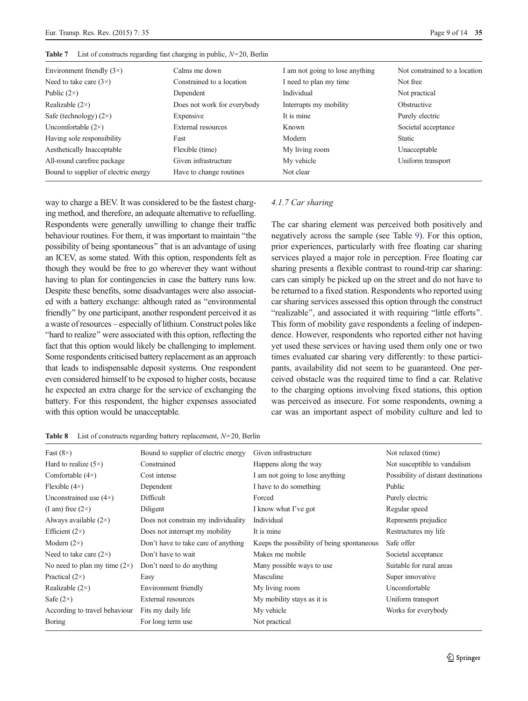| Environment friendly $(3\times)$     | Calms me down               | I am not going to lose anything | Not constrained to a location |
|--------------------------------------|-----------------------------|---------------------------------|-------------------------------|
| Need to take care $(3\times)$        | Constrained to a location   | I need to plan my time          | Not free                      |
| Public $(2\times)$                   | Dependent                   | Individual                      | Not practical                 |
| Realizable $(2\times)$               | Does not work for everybody | Interrupts my mobility          | Obstructive                   |
| Safe (technology) $(2\times)$        | Expensive                   | It is mine                      | Purely electric               |
| Uncomfortable $(2\times)$            | External resources          | Known                           | Societal acceptance           |
| Having sole responsibility           | Fast                        | Modern                          | <b>Static</b>                 |
| Aesthetically Inacceptable           | Flexible (time)             | My living room                  | Unacceptable                  |
| All-round carefree package           | Given infrastructure        | My vehicle                      | Uniform transport             |
| Bound to supplier of electric energy | Have to change routines     | Not clear                       |                               |
|                                      |                             |                                 |                               |

<span id="page-8-0"></span>**Table 7** List of constructs regarding fast charging in public,  $N=20$ , Berlin

way to charge a BEV. It was considered to be the fastest charging method, and therefore, an adequate alternative to refuelling. Respondents were generally unwilling to change their traffic behaviour routines. For them, it was important to maintain "the possibility of being spontaneous" that is an advantage of using an ICEV, as some stated. With this option, respondents felt as though they would be free to go wherever they want without having to plan for contingencies in case the battery runs low. Despite these benefits, some disadvantages were also associated with a battery exchange: although rated as "environmental friendly" by one participant, another respondent perceived it as a waste of resources – especially of lithium. Construct poles like "hard to realize" were associated with this option, reflecting the fact that this option would likely be challenging to implement. Some respondents criticised battery replacement as an approach that leads to indispensable deposit systems. One respondent even considered himself to be exposed to higher costs, because he expected an extra charge for the service of exchanging the battery. For this respondent, the higher expenses associated with this option would be unacceptable.

#### 4.1.7 Car sharing

The car sharing element was perceived both positively and negatively across the sample (see Table [9](#page-9-0)). For this option, prior experiences, particularly with free floating car sharing services played a major role in perception. Free floating car sharing presents a flexible contrast to round-trip car sharing: cars can simply be picked up on the street and do not have to be returned to a fixed station. Respondents who reported using car sharing services assessed this option through the construct "realizable", and associated it with requiring "little efforts". This form of mobility gave respondents a feeling of independence. However, respondents who reported either not having yet used these services or having used them only one or two times evaluated car sharing very differently: to these participants, availability did not seem to be guaranteed. One perceived obstacle was the required time to find a car. Relative to the charging options involving fixed stations, this option was perceived as insecure. For some respondents, owning a car was an important aspect of mobility culture and led to

| Fast $(8\times)$                    | Bound to supplier of electric energy | Given infrastructure                       | Not relaxed (time)                  |
|-------------------------------------|--------------------------------------|--------------------------------------------|-------------------------------------|
| Hard to realize $(5\times)$         | Constrained                          | Happens along the way                      | Not susceptible to vandalism        |
| Comfortable $(4\times)$             | Cost intense                         | I am not going to lose anything            | Possibility of distant destinations |
| Flexible $(4\times)$                | Dependent                            | I have to do something                     | Public                              |
| Unconstrained use $(4\times)$       | Difficult                            | Forced                                     | Purely electric                     |
| (I am) free $(2\times)$             | Diligent                             | I know what I've got                       | Regular speed                       |
| Always available $(2\times)$        | Does not constrain my individuality  | Individual                                 | Represents prejudice                |
| Efficient $(2\times)$               | Does not interrupt my mobility       | It is mine                                 | Restructures my life                |
| Modern $(2\times)$                  | Don't have to take care of anything  | Keeps the possibility of being spontaneous | Safe offer                          |
| Need to take care $(2\times)$       | Don't have to wait                   | Makes me mobile                            | Societal acceptance                 |
| No need to plan my time $(2\times)$ | Don't need to do anything            | Many possible ways to use                  | Suitable for rural areas            |
| Practical $(2\times)$               | Easy                                 | Masculine                                  | Super innovative                    |
| Realizable $(2\times)$              | Environment friendly                 | My living room                             | Uncomfortable                       |
| Safe $(2\times)$                    | External resources                   | My mobility stays as it is                 | Uniform transport                   |
| According to travel behaviour       | Fits my daily life                   | My vehicle                                 | Works for everybody                 |
| Boring                              | For long term use                    | Not practical                              |                                     |

**Table 8** List of constructs regarding battery replacement,  $N=20$ , Berlin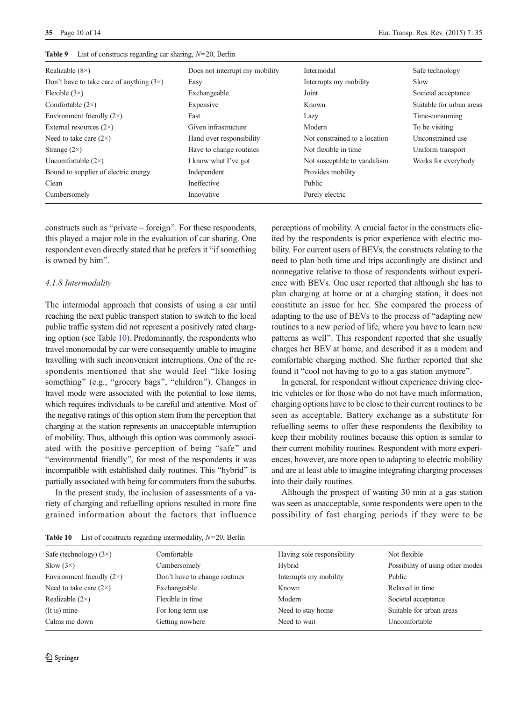| Realizable $(8\times)$                          | Does not interrupt my mobility | Intermodal                    | Safe technology          |
|-------------------------------------------------|--------------------------------|-------------------------------|--------------------------|
| Don't have to take care of anything $(3\times)$ | Easy                           | Interrupts my mobility        | Slow                     |
| Flexible $(3\times)$                            | Exchangeable                   | Joint                         | Societal acceptance      |
| Comfortable $(2\times)$                         | Expensive                      | Known                         | Suitable for urban areas |
| Environment friendly $(2\times)$                | Fast                           | Lazy                          | Time-consuming           |
| External resources $(2\times)$                  | Given infrastructure           | Modern                        | To be visiting           |
| Need to take care $(2\times)$                   | Hand over responsibility       | Not constrained to a location | Unconstrained use        |
| Strange $(2\times)$                             | Have to change routines        | Not flexible in time.         | Uniform transport        |
| Uncomfortable $(2\times)$                       | I know what I've got           | Not susceptible to vandalism  | Works for everybody      |
| Bound to supplier of electric energy            | Independent                    | Provides mobility             |                          |
| Clean                                           | Ineffective                    | Public                        |                          |
| Cumbersomely                                    | Innovative                     | Purely electric               |                          |

<span id="page-9-0"></span>**Table 9** List of constructs regarding car sharing,  $N=20$ , Berlin

constructs such as "private – foreign". For these respondents, this played a major role in the evaluation of car sharing. One respondent even directly stated that he prefers it "if something" is owned by him".

#### 4.1.8 Intermodality

The intermodal approach that consists of using a car until reaching the next public transport station to switch to the local public traffic system did not represent a positively rated charging option (see Table 10). Predominantly, the respondents who travel monomodal by car were consequently unable to imagine travelling with such inconvenient interruptions. One of the respondents mentioned that she would feel "like losing something" (e.g., "grocery bags", "children"). Changes in travel mode were associated with the potential to lose items, which requires individuals to be careful and attentive. Most of the negative ratings of this option stem from the perception that charging at the station represents an unacceptable interruption of mobility. Thus, although this option was commonly associated with the positive perception of being "safe" and "environmental friendly", for most of the respondents it was incompatible with established daily routines. This "hybrid" is partially associated with being for commuters from the suburbs.

In the present study, the inclusion of assessments of a variety of charging and refuelling options resulted in more fine grained information about the factors that influence perceptions of mobility. A crucial factor in the constructs elicited by the respondents is prior experience with electric mobility. For current users of BEVs, the constructs relating to the need to plan both time and trips accordingly are distinct and nonnegative relative to those of respondents without experience with BEVs. One user reported that although she has to plan charging at home or at a charging station, it does not constitute an issue for her. She compared the process of adapting to the use of BEVs to the process of "adapting new routines to a new period of life, where you have to learn new patterns as well". This respondent reported that she usually charges her BEV at home, and described it as a modern and comfortable charging method. She further reported that she found it "cool not having to go to a gas station anymore".

In general, for respondent without experience driving electric vehicles or for those who do not have much information, charging options have to be close to their current routines to be seen as acceptable. Battery exchange as a substitute for refuelling seems to offer these respondents the flexibility to keep their mobility routines because this option is similar to their current mobility routines. Respondent with more experiences, however, are more open to adapting to electric mobility and are at least able to imagine integrating charging processes into their daily routines.

Although the prospect of waiting 30 min at a gas station was seen as unacceptable, some respondents were open to the possibility of fast charging periods if they were to be

**Table 10** List of constructs regarding intermodality,  $N=20$ , Berlin

| Safe (technology) $(3\times)$    | Comfortable                   | Having sole responsibility | Not flexible                     |
|----------------------------------|-------------------------------|----------------------------|----------------------------------|
| Slow $(3\times)$                 | Cumbersomely                  | Hybrid                     | Possibility of using other modes |
| Environment friendly $(2\times)$ | Don't have to change routines | Interrupts my mobility     | Public                           |
| Need to take care $(2\times)$    | Exchangeable                  | Known                      | Relaxed in time                  |
| Realizable $(2\times)$           | Flexible in time              | Modern                     | Societal acceptance              |
| (It is) mine                     | For long term use             | Need to stay home          | Suitable for urban areas         |
| Calms me down                    | Getting nowhere               | Need to wait               | Uncomfortable                    |
|                                  |                               |                            |                                  |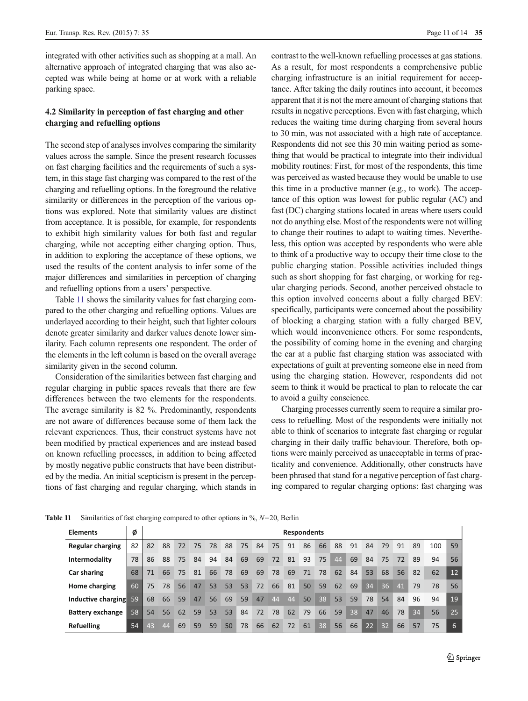<span id="page-10-0"></span>integrated with other activities such as shopping at a mall. An alternative approach of integrated charging that was also accepted was while being at home or at work with a reliable parking space.

# 4.2 Similarity in perception of fast charging and other charging and refuelling options

The second step of analyses involves comparing the similarity values across the sample. Since the present research focusses on fast charging facilities and the requirements of such a system, in this stage fast charging was compared to the rest of the charging and refuelling options. In the foreground the relative similarity or differences in the perception of the various options was explored. Note that similarity values are distinct from acceptance. It is possible, for example, for respondents to exhibit high similarity values for both fast and regular charging, while not accepting either charging option. Thus, in addition to exploring the acceptance of these options, we used the results of the content analysis to infer some of the major differences and similarities in perception of charging and refuelling options from a users' perspective.

Table 11 shows the similarity values for fast charging compared to the other charging and refuelling options. Values are underlayed according to their height, such that lighter colours denote greater similarity and darker values denote lower similarity. Each column represents one respondent. The order of the elements in the left column is based on the overall average similarity given in the second column.

Consideration of the similarities between fast charging and regular charging in public spaces reveals that there are few differences between the two elements for the respondents. The average similarity is 82 %. Predominantly, respondents are not aware of differences because some of them lack the relevant experiences. Thus, their construct systems have not been modified by practical experiences and are instead based on known refuelling processes, in addition to being affected by mostly negative public constructs that have been distributed by the media. An initial scepticism is present in the perceptions of fast charging and regular charging, which stands in contrast to the well-known refuelling processes at gas stations. As a result, for most respondents a comprehensive public charging infrastructure is an initial requirement for acceptance. After taking the daily routines into account, it becomes apparent that it is not the mere amount of charging stations that results in negative perceptions. Even with fast charging, which reduces the waiting time during charging from several hours to 30 min, was not associated with a high rate of acceptance. Respondents did not see this 30 min waiting period as something that would be practical to integrate into their individual mobility routines: First, for most of the respondents, this time was perceived as wasted because they would be unable to use this time in a productive manner (e.g., to work). The acceptance of this option was lowest for public regular (AC) and fast (DC) charging stations located in areas where users could not do anything else. Most of the respondents were not willing to change their routines to adapt to waiting times. Nevertheless, this option was accepted by respondents who were able to think of a productive way to occupy their time close to the public charging station. Possible activities included things such as short shopping for fast charging, or working for regular charging periods. Second, another perceived obstacle to this option involved concerns about a fully charged BEV: specifically, participants were concerned about the possibility of blocking a charging station with a fully charged BEV, which would inconvenience others. For some respondents, the possibility of coming home in the evening and charging the car at a public fast charging station was associated with expectations of guilt at preventing someone else in need from using the charging station. However, respondents did not seem to think it would be practical to plan to relocate the car to avoid a guilty conscience.

Charging processes currently seem to require a similar process to refuelling. Most of the respondents were initially not able to think of scenarios to integrate fast charging or regular charging in their daily traffic behaviour. Therefore, both options were mainly perceived as unacceptable in terms of practicality and convenience. Additionally, other constructs have been phrased that stand for a negative perception of fast charging compared to regular charging options: fast charging was

| <b>Elements</b>         | Ø  | <b>Respondents</b> |    |    |    |    |    |    |    |    |    |    |    |    |    |                 |                 |    |    |     |    |
|-------------------------|----|--------------------|----|----|----|----|----|----|----|----|----|----|----|----|----|-----------------|-----------------|----|----|-----|----|
| <b>Regular charging</b> | 82 | 82                 | 88 | 72 | 75 | 78 | 88 | 75 | 84 | 75 | 91 | 86 | 66 | 88 | 91 | 84              | 79              | 91 | 89 | 100 | 59 |
| Intermodality           | 78 | 86                 | 88 | 75 | 84 | 94 | 84 | 69 | 69 | 72 | 81 | 93 | 75 | 44 | 69 | 84              | 75              | 72 | 89 | 94  | 56 |
| <b>Car sharing</b>      | 68 | 71                 | 66 | 75 | 81 | 66 | 78 | 69 | 69 | 78 | 69 | 71 | 78 | 62 | 84 | 53              | 68              | 56 | 82 | 62  | 12 |
| Home charging           | 60 | 75                 | 78 | 56 | 47 | 53 | 53 | 53 | 72 | 66 | 81 | 50 | 59 | 62 | 69 | 34              | 36              | 41 | 79 | 78  | 56 |
| Inductive charging      | 59 | 68                 | 66 | 59 | 47 | 56 | 69 | 59 | 47 | 44 | 44 | 50 | 38 | 53 | 59 | 78              | 54              | 84 | 96 | 94  | 19 |
| <b>Battery exchange</b> | 58 | 54                 | 56 | 62 | 59 | 53 | 53 | 84 | 72 | 78 | 62 | 79 | 66 | 59 | 38 | 47              | 46              | 78 | 34 | 56  | 25 |
| <b>Refuelling</b>       | 54 | 43                 | 44 | 69 | 59 | 59 | 50 | 78 | 66 | 62 | 72 | 61 | 38 | 56 | 66 | $\overline{22}$ | 32 <sup>1</sup> | 66 | 57 | 75  | 6. |

**Table 11** Similarities of fast charging compared to other options in  $\%$ ,  $N=20$ , Berlin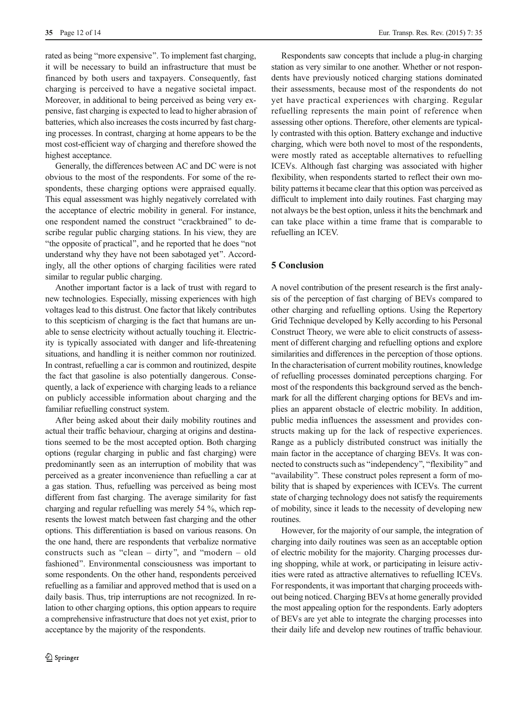rated as being "more expensive". To implement fast charging, it will be necessary to build an infrastructure that must be financed by both users and taxpayers. Consequently, fast charging is perceived to have a negative societal impact. Moreover, in additional to being perceived as being very expensive, fast charging is expected to lead to higher abrasion of batteries, which also increases the costs incurred by fast charging processes. In contrast, charging at home appears to be the most cost-efficient way of charging and therefore showed the highest acceptance.

Generally, the differences between AC and DC were is not obvious to the most of the respondents. For some of the respondents, these charging options were appraised equally. This equal assessment was highly negatively correlated with the acceptance of electric mobility in general. For instance, one respondent named the construct "crackbrained" to describe regular public charging stations. In his view, they are "the opposite of practical", and he reported that he does "not understand why they have not been sabotaged yet^. Accordingly, all the other options of charging facilities were rated similar to regular public charging.

Another important factor is a lack of trust with regard to new technologies. Especially, missing experiences with high voltages lead to this distrust. One factor that likely contributes to this scepticism of charging is the fact that humans are unable to sense electricity without actually touching it. Electricity is typically associated with danger and life-threatening situations, and handling it is neither common nor routinized. In contrast, refuelling a car is common and routinized, despite the fact that gasoline is also potentially dangerous. Consequently, a lack of experience with charging leads to a reliance on publicly accessible information about charging and the familiar refuelling construct system.

After being asked about their daily mobility routines and actual their traffic behaviour, charging at origins and destinations seemed to be the most accepted option. Both charging options (regular charging in public and fast charging) were predominantly seen as an interruption of mobility that was perceived as a greater inconvenience than refuelling a car at a gas station. Thus, refuelling was perceived as being most different from fast charging. The average similarity for fast charging and regular refuelling was merely 54 %, which represents the lowest match between fast charging and the other options. This differentiation is based on various reasons. On the one hand, there are respondents that verbalize normative constructs such as "clean – dirty", and "modern – old fashioned". Environmental consciousness was important to some respondents. On the other hand, respondents perceived refuelling as a familiar and approved method that is used on a daily basis. Thus, trip interruptions are not recognized. In relation to other charging options, this option appears to require a comprehensive infrastructure that does not yet exist, prior to acceptance by the majority of the respondents.

Respondents saw concepts that include a plug-in charging station as very similar to one another. Whether or not respondents have previously noticed charging stations dominated their assessments, because most of the respondents do not yet have practical experiences with charging. Regular refuelling represents the main point of reference when assessing other options. Therefore, other elements are typically contrasted with this option. Battery exchange and inductive charging, which were both novel to most of the respondents, were mostly rated as acceptable alternatives to refuelling ICEVs. Although fast charging was associated with higher flexibility, when respondents started to reflect their own mobility patterns it became clear that this option was perceived as difficult to implement into daily routines. Fast charging may not always be the best option, unless it hits the benchmark and can take place within a time frame that is comparable to refuelling an ICEV.

# 5 Conclusion

A novel contribution of the present research is the first analysis of the perception of fast charging of BEVs compared to other charging and refuelling options. Using the Repertory Grid Technique developed by Kelly according to his Personal Construct Theory, we were able to elicit constructs of assessment of different charging and refuelling options and explore similarities and differences in the perception of those options. In the characterisation of current mobility routines, knowledge of refuelling processes dominated perceptions charging. For most of the respondents this background served as the benchmark for all the different charging options for BEVs and implies an apparent obstacle of electric mobility. In addition, public media influences the assessment and provides constructs making up for the lack of respective experiences. Range as a publicly distributed construct was initially the main factor in the acceptance of charging BEVs. It was connected to constructs such as "independency", "flexibility" and "availability". These construct poles represent a form of mobility that is shaped by experiences with ICEVs. The current state of charging technology does not satisfy the requirements of mobility, since it leads to the necessity of developing new routines.

However, for the majority of our sample, the integration of charging into daily routines was seen as an acceptable option of electric mobility for the majority. Charging processes during shopping, while at work, or participating in leisure activities were rated as attractive alternatives to refuelling ICEVs. For respondents, it was important that charging proceeds without being noticed. Charging BEVs at home generally provided the most appealing option for the respondents. Early adopters of BEVs are yet able to integrate the charging processes into their daily life and develop new routines of traffic behaviour.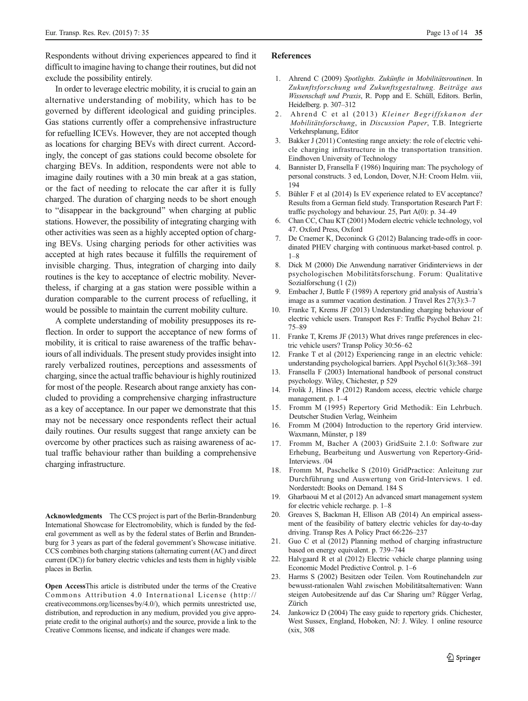<span id="page-12-0"></span>Respondents without driving experiences appeared to find it difficult to imagine having to change their routines, but did not exclude the possibility entirely.

In order to leverage electric mobility, it is crucial to gain an alternative understanding of mobility, which has to be governed by different ideological and guiding principles. Gas stations currently offer a comprehensive infrastructure for refuelling ICEVs. However, they are not accepted though as locations for charging BEVs with direct current. Accordingly, the concept of gas stations could become obsolete for charging BEVs. In addition, respondents were not able to imagine daily routines with a 30 min break at a gas station, or the fact of needing to relocate the car after it is fully charged. The duration of charging needs to be short enough to "disappear in the background" when charging at public stations. However, the possibility of integrating charging with other activities was seen as a highly accepted option of charging BEVs. Using charging periods for other activities was accepted at high rates because it fulfills the requirement of invisible charging. Thus, integration of charging into daily routines is the key to acceptance of electric mobility. Nevertheless, if charging at a gas station were possible within a duration comparable to the current process of refuelling, it would be possible to maintain the current mobility culture.

A complete understanding of mobility presupposes its reflection. In order to support the acceptance of new forms of mobility, it is critical to raise awareness of the traffic behaviours of all individuals. The present study provides insight into rarely verbalized routines, perceptions and assessments of charging, since the actual traffic behaviour is highly routinized for most of the people. Research about range anxiety has concluded to providing a comprehensive charging infrastructure as a key of acceptance. In our paper we demonstrate that this may not be necessary once respondents reflect their actual daily routines. Our results suggest that range anxiety can be overcome by other practices such as raising awareness of actual traffic behaviour rather than building a comprehensive charging infrastructure.

Acknowledgments The CCS project is part of the Berlin-Brandenburg International Showcase for Electromobility, which is funded by the federal government as well as by the federal states of Berlin and Brandenburg for 3 years as part of the federal government's Showcase initiative. CCS combines both charging stations (alternating current (AC) and direct current (DC)) for battery electric vehicles and tests them in highly visible places in Berlin.

Open AccessThis article is distributed under the terms of the Creative Commons Attribution 4.0 International License (http:// creativecommons.org/licenses/by/4.0/), which permits unrestricted use, distribution, and reproduction in any medium, provided you give appropriate credit to the original author(s) and the source, provide a link to the Creative Commons license, and indicate if changes were made.

#### References

- 1. Ahrend C (2009) Spotlights. Zukünfte in Mobilitätsroutinen. In Zukunftsforschung und Zukunftsgestaltung. Beiträge aus Wissenschaft und Praxis, R. Popp and E. Schüll, Editors. Berlin, Heidelberg. p. 307–312
- 2. Ahrend C et al (2013) Kleiner Begriffskanon der Mobilitätsforschung, in Discussion Paper, T.B. Integrierte Verkehrsplanung, Editor
- 3. Bakker J (2011) Contesting range anxiety: the role of electric vehicle charging infrastructure in the transportation transition. Eindhoven University of Technology
- 4. Bannister D, Fransella F (1986) Inquiring man: The psychology of personal constructs. 3 ed, London, Dover, N.H: Croom Helm. viii, 194
- 5. Bühler F et al (2014) Is EV experience related to EV acceptance? Results from a German field study. Transportation Research Part F: traffic psychology and behaviour. 25, Part A(0): p. 34–49
- 6. Chan CC, Chau KT (2001) Modern electric vehicle technology, vol 47. Oxford Press, Oxford
- 7. De Craemer K, Deconinck G (2012) Balancing trade-offs in coordinated PHEV charging with continuous market-based control. p. 1–8
- 8. Dick M (2000) Die Anwendung narrativer Gridinterviews in der psychologischen Mobilitätsforschung. Forum: Qualitative Sozialforschung (1 (2))
- 9. Embacher J, Buttle F (1989) A repertory grid analysis of Austria's image as a summer vacation destination. J Travel Res 27(3):3–7
- 10. Franke T, Krems JF (2013) Understanding charging behaviour of electric vehicle users. Transport Res F: Traffic Psychol Behav 21: 75–89
- 11. Franke T, Krems JF (2013) What drives range preferences in electric vehicle users? Transp Policy 30:56–62
- 12. Franke T et al (2012) Experiencing range in an electric vehicle: understanding psychological barriers. Appl Psychol 61(3):368–391
- 13. Fransella F (2003) International handbook of personal construct psychology. Wiley, Chichester, p 529
- 14. Frolik J, Hines P (2012) Random access, electric vehicle charge management. p. 1–4
- 15. Fromm M (1995) Repertory Grid Methodik: Ein Lehrbuch. Deutscher Studien Verlag, Weinheim
- 16. Fromm M (2004) Introduction to the repertory Grid interview. Waxmann, Münster, p 189
- 17. Fromm M, Bacher A (2003) GridSuite 2.1.0: Software zur Erhebung, Bearbeitung und Auswertung von Repertory-Grid-Interviews. /04
- 18. Fromm M, Paschelke S (2010) GridPractice: Anleitung zur Durchführung und Auswertung von Grid-Interviews. 1 ed. Norderstedt: Books on Demand. 184 S
- 19. Gharbaoui M et al (2012) An advanced smart management system for electric vehicle recharge. p. 1–8
- 20. Greaves S, Backman H, Ellison AB (2014) An empirical assessment of the feasibility of battery electric vehicles for day-to-day driving. Transp Res A Policy Pract 66:226–237
- 21. Guo C et al (2012) Planning method of charging infrastructure based on energy equivalent. p. 739–744
- 22. Halvgaard R et al (2012) Electric vehicle charge planning using Economic Model Predictive Control. p. 1–6
- 23. Harms S (2002) Besitzen oder Teilen. Vom Routinehandeln zur bewusst-rationalen Wahl zwischen Mobilitätsalternativen: Wann steigen Autobesitzende auf das Car Sharing um? Rügger Verlag, Zürich
- 24. Jankowicz D (2004) The easy guide to repertory grids. Chichester, West Sussex, England, Hoboken, NJ: J. Wiley. 1 online resource (xix, 308